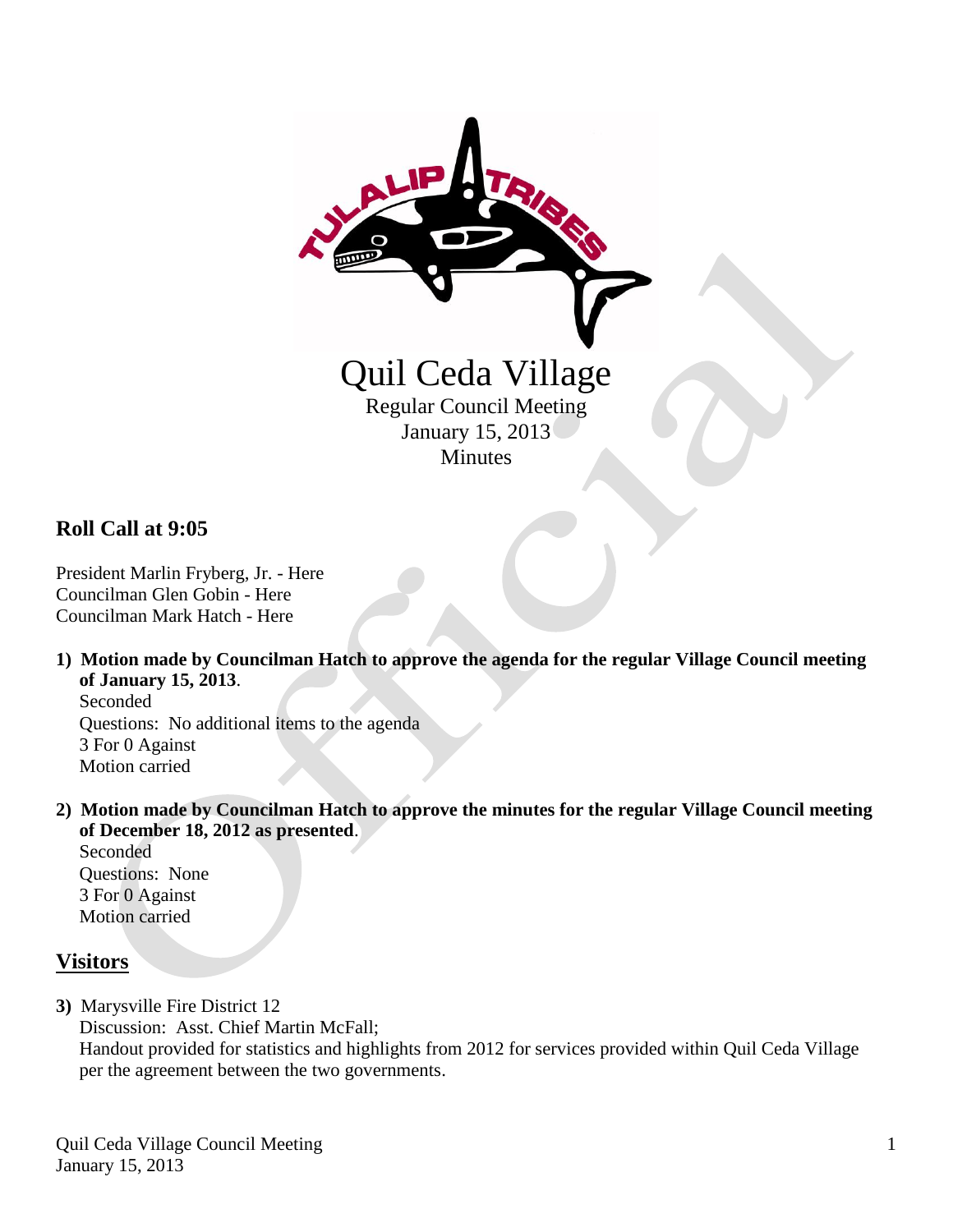

## **Roll Call at 9:05**

President Marlin Fryberg, Jr. - Here Councilman Glen Gobin - Here Councilman Mark Hatch - Here

**1) Motion made by Councilman Hatch to approve the agenda for the regular Village Council meeting of January 15, 2013**.

 Seconded Questions: No additional items to the agenda 3 For 0 Against Motion carried

**2) Motion made by Councilman Hatch to approve the minutes for the regular Village Council meeting of December 18, 2012 as presented**.

 Seconded Questions: None 3 For 0 Against Motion carried

#### **Visitors**

**3)** Marysville Fire District 12 Discussion: Asst. Chief Martin McFall; Handout provided for statistics and highlights from 2012 for services provided within Quil Ceda Village per the agreement between the two governments.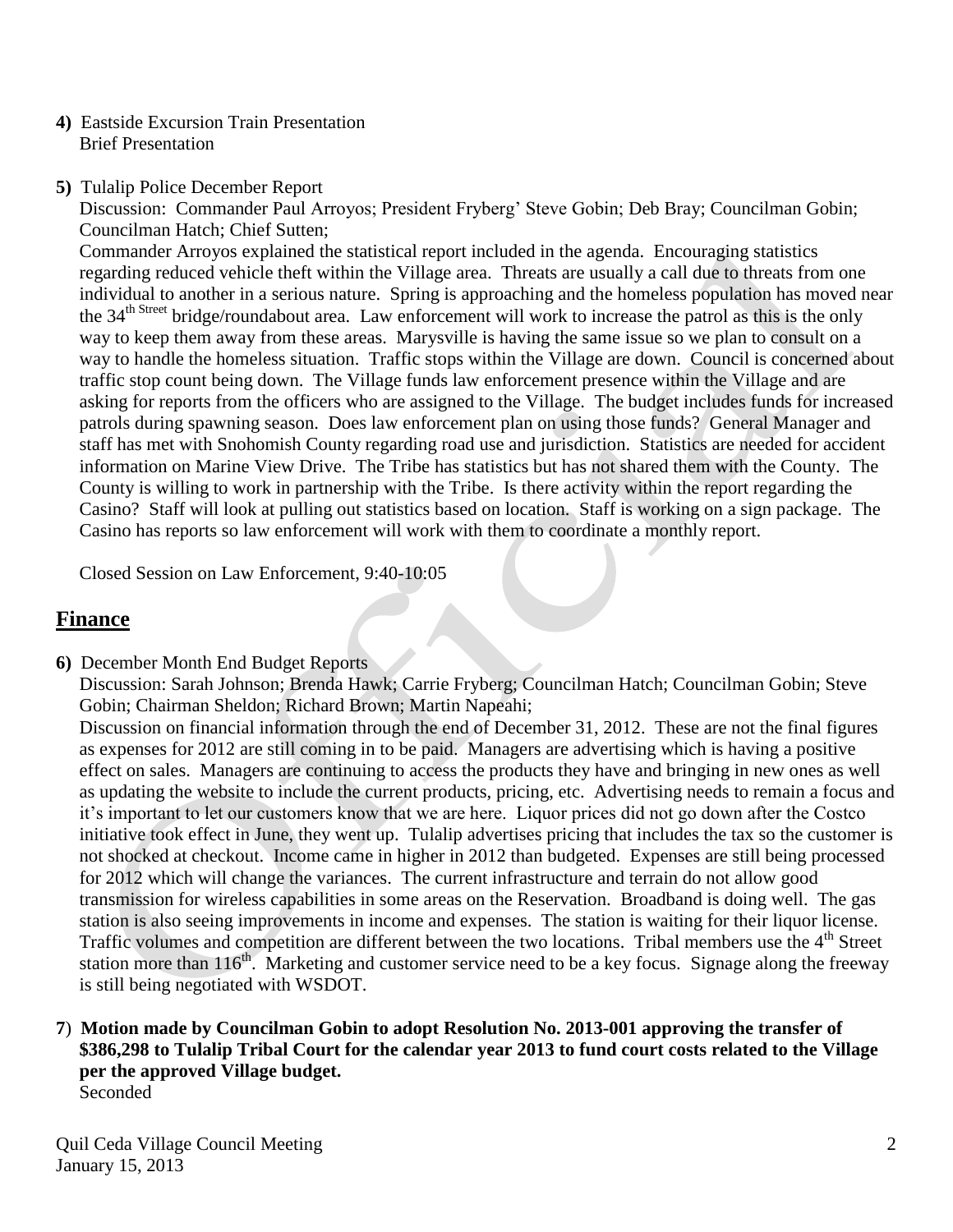- **4)** Eastside Excursion Train Presentation Brief Presentation
- **5)** Tulalip Police December Report

 Discussion: Commander Paul Arroyos; President Fryberg' Steve Gobin; Deb Bray; Councilman Gobin; Councilman Hatch; Chief Sutten;

 Commander Arroyos explained the statistical report included in the agenda. Encouraging statistics regarding reduced vehicle theft within the Village area. Threats are usually a call due to threats from one individual to another in a serious nature. Spring is approaching and the homeless population has moved near the 34<sup>th Street</sup> bridge/roundabout area. Law enforcement will work to increase the patrol as this is the only way to keep them away from these areas. Marysville is having the same issue so we plan to consult on a way to handle the homeless situation. Traffic stops within the Village are down. Council is concerned about traffic stop count being down. The Village funds law enforcement presence within the Village and are asking for reports from the officers who are assigned to the Village. The budget includes funds for increased patrols during spawning season. Does law enforcement plan on using those funds? General Manager and staff has met with Snohomish County regarding road use and jurisdiction. Statistics are needed for accident information on Marine View Drive. The Tribe has statistics but has not shared them with the County. The County is willing to work in partnership with the Tribe. Is there activity within the report regarding the Casino? Staff will look at pulling out statistics based on location. Staff is working on a sign package. The Casino has reports so law enforcement will work with them to coordinate a monthly report.

Closed Session on Law Enforcement, 9:40-10:05

# **Finance**

**6)** December Month End Budget Reports

 Discussion: Sarah Johnson; Brenda Hawk; Carrie Fryberg; Councilman Hatch; Councilman Gobin; Steve Gobin; Chairman Sheldon; Richard Brown; Martin Napeahi;

 Discussion on financial information through the end of December 31, 2012. These are not the final figures as expenses for 2012 are still coming in to be paid. Managers are advertising which is having a positive effect on sales. Managers are continuing to access the products they have and bringing in new ones as well as updating the website to include the current products, pricing, etc. Advertising needs to remain a focus and it's important to let our customers know that we are here. Liquor prices did not go down after the Costco initiative took effect in June, they went up. Tulalip advertises pricing that includes the tax so the customer is not shocked at checkout. Income came in higher in 2012 than budgeted. Expenses are still being processed for 2012 which will change the variances. The current infrastructure and terrain do not allow good transmission for wireless capabilities in some areas on the Reservation. Broadband is doing well. The gas station is also seeing improvements in income and expenses. The station is waiting for their liquor license. Traffic volumes and competition are different between the two locations. Tribal members use the 4<sup>th</sup> Street station more than  $116<sup>th</sup>$ . Marketing and customer service need to be a key focus. Signage along the freeway is still being negotiated with WSDOT.

#### **7**) **Motion made by Councilman Gobin to adopt Resolution No. 2013-001 approving the transfer of \$386,298 to Tulalip Tribal Court for the calendar year 2013 to fund court costs related to the Village per the approved Village budget.** Seconded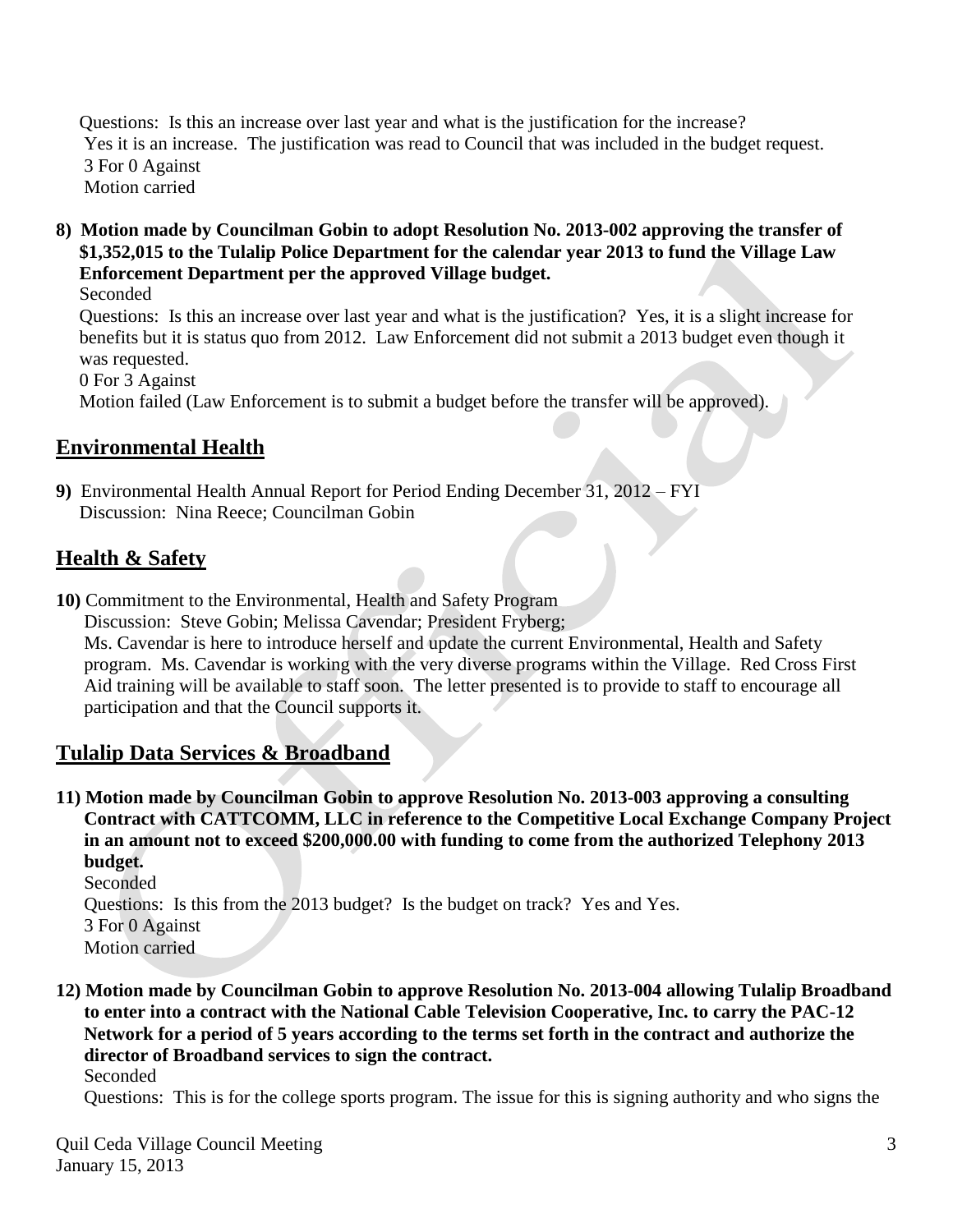Questions: Is this an increase over last year and what is the justification for the increase? Yes it is an increase. The justification was read to Council that was included in the budget request. 3 For 0 Against Motion carried

**8) Motion made by Councilman Gobin to adopt Resolution No. 2013-002 approving the transfer of \$1,352,015 to the Tulalip Police Department for the calendar year 2013 to fund the Village Law Enforcement Department per the approved Village budget.**

Seconded

 Questions: Is this an increase over last year and what is the justification? Yes, it is a slight increase for benefits but it is status quo from 2012. Law Enforcement did not submit a 2013 budget even though it was requested.

0 For 3 Against

Motion failed (Law Enforcement is to submit a budget before the transfer will be approved).

## **Environmental Health**

**9)** Environmental Health Annual Report for Period Ending December 31, 2012 – FYI Discussion: Nina Reece; Councilman Gobin

## **Health & Safety**

**10)** Commitment to the Environmental, Health and Safety Program

Discussion: Steve Gobin; Melissa Cavendar; President Fryberg;

 Ms. Cavendar is here to introduce herself and update the current Environmental, Health and Safety program. Ms. Cavendar is working with the very diverse programs within the Village. Red Cross First Aid training will be available to staff soon. The letter presented is to provide to staff to encourage all participation and that the Council supports it.

# **Tulalip Data Services & Broadband**

**11) Motion made by Councilman Gobin to approve Resolution No. 2013-003 approving a consulting Contract with CATTCOMM, LLC in reference to the Competitive Local Exchange Company Project in an amount not to exceed \$200,000.00 with funding to come from the authorized Telephony 2013 budget.**

Seconded Questions: Is this from the 2013 budget? Is the budget on track? Yes and Yes. 3 For 0 Against Motion carried

**12) Motion made by Councilman Gobin to approve Resolution No. 2013-004 allowing Tulalip Broadband to enter into a contract with the National Cable Television Cooperative, Inc. to carry the PAC-12 Network for a period of 5 years according to the terms set forth in the contract and authorize the director of Broadband services to sign the contract.**

Seconded

Questions: This is for the college sports program. The issue for this is signing authority and who signs the